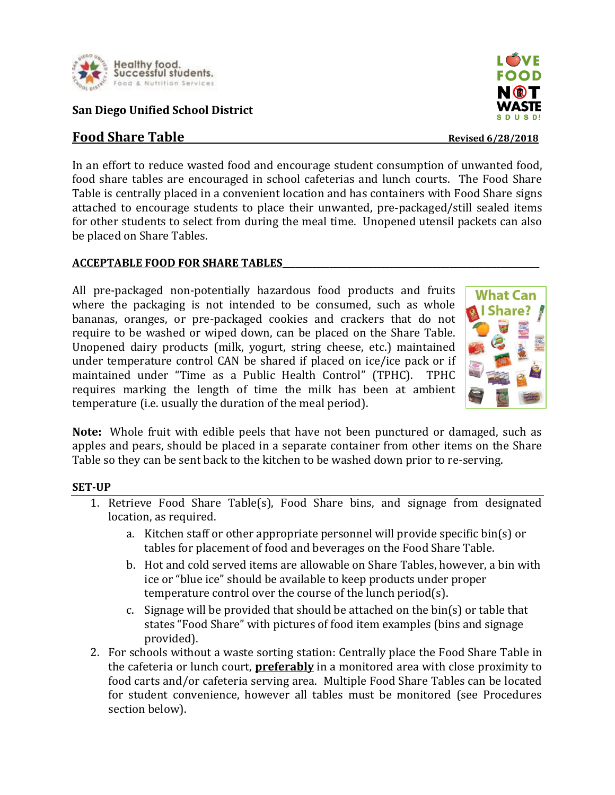

## **San Diego Unified School District**

# **Food Share Table** *Revised 6/28/2018*

In an effort to reduce wasted food and encourage student consumption of unwanted food, food share tables are encouraged in school cafeterias and lunch courts. The Food Share Table is centrally placed in a convenient location and has containers with Food Share signs attached to encourage students to place their unwanted, pre-packaged/still sealed items for other students to select from during the meal time. Unopened utensil packets can also be placed on Share Tables.

### **ACCEPTABLE FOOD FOR SHARE TABLES\_\_\_\_\_\_\_\_\_\_\_\_\_\_\_\_\_\_\_\_\_\_\_\_\_\_\_\_\_\_\_\_\_\_\_\_\_\_\_\_\_\_\_\_\_\_\_\_\_\_\_\_\_\_\_\_\_\_\_\_**

All pre-packaged non-potentially hazardous food products and fruits where the packaging is not intended to be consumed, such as whole bananas, oranges, or pre-packaged cookies and crackers that do not require to be washed or wiped down, can be placed on the Share Table. Unopened dairy products (milk, yogurt, string cheese, etc.) maintained under temperature control CAN be shared if placed on ice/ice pack or if maintained under "Time as a Public Health Control" (TPHC). TPHC requires marking the length of time the milk has been at ambient temperature (i.e. usually the duration of the meal period).



**Note:** Whole fruit with edible peels that have not been punctured or damaged, such as apples and pears, should be placed in a separate container from other items on the Share Table so they can be sent back to the kitchen to be washed down prior to re-serving.

### **SET-UP**

- 1. Retrieve Food Share Table(s), Food Share bins, and signage from designated location, as required.
	- a. Kitchen staff or other appropriate personnel will provide specific bin(s) or tables for placement of food and beverages on the Food Share Table.
	- b. Hot and cold served items are allowable on Share Tables, however, a bin with ice or "blue ice" should be available to keep products under proper temperature control over the course of the lunch period(s).
	- c. Signage will be provided that should be attached on the bin(s) or table that states "Food Share" with pictures of food item examples (bins and signage provided).
- 2. For schools without a waste sorting station: Centrally place the Food Share Table in the cafeteria or lunch court, **preferably** in a monitored area with close proximity to food carts and/or cafeteria serving area. Multiple Food Share Tables can be located for student convenience, however all tables must be monitored (see Procedures section below).